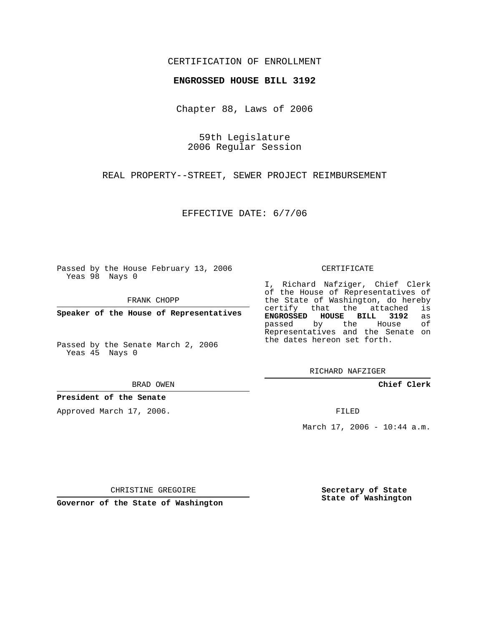## CERTIFICATION OF ENROLLMENT

### **ENGROSSED HOUSE BILL 3192**

Chapter 88, Laws of 2006

59th Legislature 2006 Regular Session

REAL PROPERTY--STREET, SEWER PROJECT REIMBURSEMENT

EFFECTIVE DATE: 6/7/06

Passed by the House February 13, 2006 Yeas 98 Nays 0

FRANK CHOPP

**Speaker of the House of Representatives**

Passed by the Senate March 2, 2006 Yeas 45 Nays 0

#### BRAD OWEN

### **President of the Senate**

Approved March 17, 2006.

#### CERTIFICATE

I, Richard Nafziger, Chief Clerk of the House of Representatives of the State of Washington, do hereby<br>certify that the attached is certify that the attached **ENGROSSED HOUSE BILL 3192** as passed by the House Representatives and the Senate on the dates hereon set forth.

RICHARD NAFZIGER

**Chief Clerk**

FILED

March 17, 2006 - 10:44 a.m.

CHRISTINE GREGOIRE

**Governor of the State of Washington**

**Secretary of State State of Washington**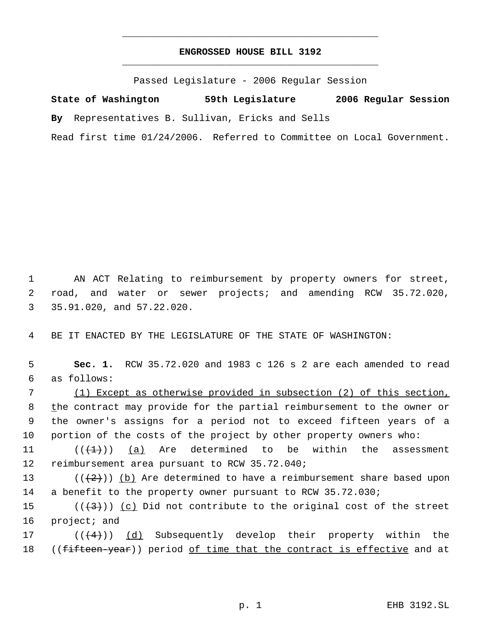# **ENGROSSED HOUSE BILL 3192** \_\_\_\_\_\_\_\_\_\_\_\_\_\_\_\_\_\_\_\_\_\_\_\_\_\_\_\_\_\_\_\_\_\_\_\_\_\_\_\_\_\_\_\_\_

\_\_\_\_\_\_\_\_\_\_\_\_\_\_\_\_\_\_\_\_\_\_\_\_\_\_\_\_\_\_\_\_\_\_\_\_\_\_\_\_\_\_\_\_\_

Passed Legislature - 2006 Regular Session

**State of Washington 59th Legislature 2006 Regular Session By** Representatives B. Sullivan, Ericks and Sells

Read first time 01/24/2006. Referred to Committee on Local Government.

 1 AN ACT Relating to reimbursement by property owners for street, 2 road, and water or sewer projects; and amending RCW 35.72.020, 3 35.91.020, and 57.22.020.

4 BE IT ENACTED BY THE LEGISLATURE OF THE STATE OF WASHINGTON:

 5 **Sec. 1.** RCW 35.72.020 and 1983 c 126 s 2 are each amended to read 6 as follows:

 (1) Except as otherwise provided in subsection (2) of this section, 8 the contract may provide for the partial reimbursement to the owner or the owner's assigns for a period not to exceed fifteen years of a portion of the costs of the project by other property owners who:

11  $((+1))$  (a) Are determined to be within the assessment 12 reimbursement area pursuant to RCW 35.72.040;

13 ( $(\frac{1}{2})$ ) (b) Are determined to have a reimbursement share based upon 14 a benefit to the property owner pursuant to RCW 35.72.030;

15 ( $(\langle 3 \rangle)$  (c) Did not contribute to the original cost of the street 16 project; and

17  $((\langle 4 \rangle) )$  (d) Subsequently develop their property within the 18 ((<del>fifteen-year</del>)) period of time that the contract is effective and at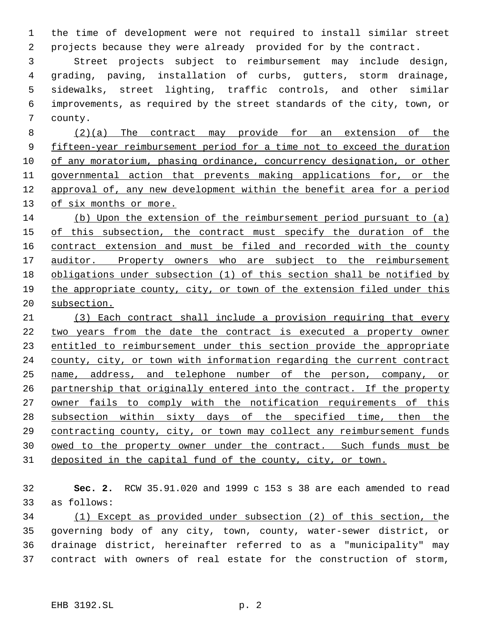the time of development were not required to install similar street projects because they were already provided for by the contract.

 Street projects subject to reimbursement may include design, grading, paving, installation of curbs, gutters, storm drainage, sidewalks, street lighting, traffic controls, and other similar improvements, as required by the street standards of the city, town, or county.

 (2)(a) The contract may provide for an extension of the 9 fifteen-year reimbursement period for a time not to exceed the duration 10 of any moratorium, phasing ordinance, concurrency designation, or other governmental action that prevents making applications for, or the approval of, any new development within the benefit area for a period 13 of six months or more.

 (b) Upon the extension of the reimbursement period pursuant to (a) 15 of this subsection, the contract must specify the duration of the 16 contract extension and must be filed and recorded with the county 17 auditor. Property owners who are subject to the reimbursement obligations under subsection (1) of this section shall be notified by the appropriate county, city, or town of the extension filed under this subsection.

 (3) Each contract shall include a provision requiring that every two years from the date the contract is executed a property owner entitled to reimbursement under this section provide the appropriate 24 county, city, or town with information regarding the current contract name, address, and telephone number of the person, company, or partnership that originally entered into the contract. If the property 27 owner fails to comply with the notification requirements of this subsection within sixty days of the specified time, then the contracting county, city, or town may collect any reimbursement funds 30 owed to the property owner under the contract. Such funds must be deposited in the capital fund of the county, city, or town.

 **Sec. 2.** RCW 35.91.020 and 1999 c 153 s 38 are each amended to read as follows:

 (1) Except as provided under subsection (2) of this section, the governing body of any city, town, county, water-sewer district, or drainage district, hereinafter referred to as a "municipality" may contract with owners of real estate for the construction of storm,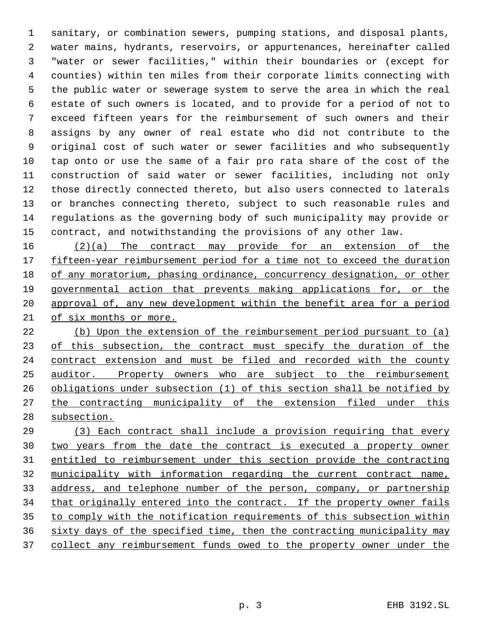sanitary, or combination sewers, pumping stations, and disposal plants, water mains, hydrants, reservoirs, or appurtenances, hereinafter called "water or sewer facilities," within their boundaries or (except for counties) within ten miles from their corporate limits connecting with the public water or sewerage system to serve the area in which the real estate of such owners is located, and to provide for a period of not to exceed fifteen years for the reimbursement of such owners and their assigns by any owner of real estate who did not contribute to the original cost of such water or sewer facilities and who subsequently tap onto or use the same of a fair pro rata share of the cost of the construction of said water or sewer facilities, including not only those directly connected thereto, but also users connected to laterals or branches connecting thereto, subject to such reasonable rules and regulations as the governing body of such municipality may provide or contract, and notwithstanding the provisions of any other law.

 (2)(a) The contract may provide for an extension of the 17 fifteen-year reimbursement period for a time not to exceed the duration of any moratorium, phasing ordinance, concurrency designation, or other governmental action that prevents making applications for, or the approval of, any new development within the benefit area for a period of six months or more.

 (b) Upon the extension of the reimbursement period pursuant to (a) 23 of this subsection, the contract must specify the duration of the 24 contract extension and must be filed and recorded with the county 25 auditor. Property owners who are subject to the reimbursement obligations under subsection (1) of this section shall be notified by 27 the contracting municipality of the extension filed under this subsection.

 (3) Each contract shall include a provision requiring that every two years from the date the contract is executed a property owner entitled to reimbursement under this section provide the contracting municipality with information regarding the current contract name, 33 address, and telephone number of the person, company, or partnership 34 that originally entered into the contract. If the property owner fails to comply with the notification requirements of this subsection within sixty days of the specified time, then the contracting municipality may collect any reimbursement funds owed to the property owner under the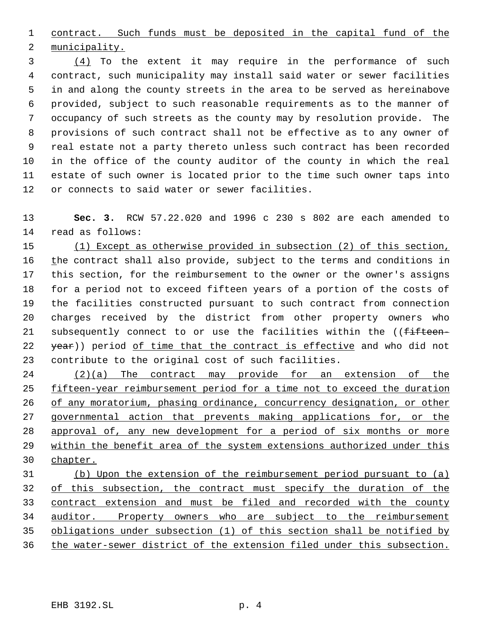contract. Such funds must be deposited in the capital fund of the municipality.

 (4) To the extent it may require in the performance of such contract, such municipality may install said water or sewer facilities in and along the county streets in the area to be served as hereinabove provided, subject to such reasonable requirements as to the manner of occupancy of such streets as the county may by resolution provide. The provisions of such contract shall not be effective as to any owner of real estate not a party thereto unless such contract has been recorded in the office of the county auditor of the county in which the real estate of such owner is located prior to the time such owner taps into or connects to said water or sewer facilities.

 **Sec. 3.** RCW 57.22.020 and 1996 c 230 s 802 are each amended to read as follows:

 (1) Except as otherwise provided in subsection (2) of this section, 16 the contract shall also provide, subject to the terms and conditions in this section, for the reimbursement to the owner or the owner's assigns for a period not to exceed fifteen years of a portion of the costs of the facilities constructed pursuant to such contract from connection charges received by the district from other property owners who 21 subsequently connect to or use the facilities within the ((fifteen-22 year)) period of time that the contract is effective and who did not contribute to the original cost of such facilities.

 (2)(a) The contract may provide for an extension of the 25 fifteen-year reimbursement period for a time not to exceed the duration of any moratorium, phasing ordinance, concurrency designation, or other 27 governmental action that prevents making applications for, or the approval of, any new development for a period of six months or more within the benefit area of the system extensions authorized under this chapter.

 (b) Upon the extension of the reimbursement period pursuant to (a) 32 of this subsection, the contract must specify the duration of the contract extension and must be filed and recorded with the county 34 auditor. Property owners who are subject to the reimbursement obligations under subsection (1) of this section shall be notified by the water-sewer district of the extension filed under this subsection.